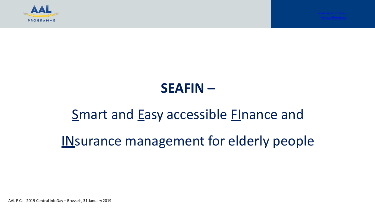

### **SEAFIN –**

## Smart and Easy accessible **Finance and**

IN surance management for elderly people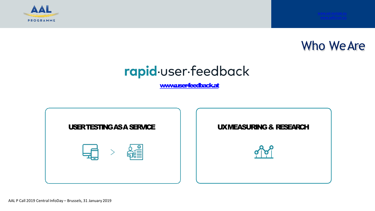



# rapid.user.feedback

[www.user-feedback.at](http://www.user-feedback.at/)

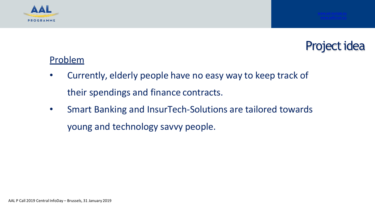



#### Problem

- Currently, elderly people have no easy way to keep track of their spendings and finance contracts.
- Smart Banking and InsurTech-Solutions are tailored towards young and technology savvy people.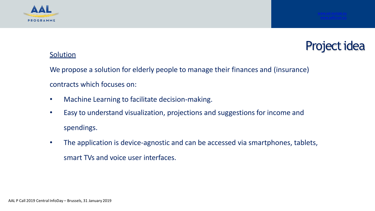



#### **Solution**

We propose a solution for elderly people to manage their finances and (insurance) contracts which focuses on:

- Machine Learning to facilitate decision-making.
- Easy to understand visualization, projections and suggestions for income and spendings.
- The application is device-agnostic and can be accessed via smartphones, tablets, smart TVs and voice user interfaces.